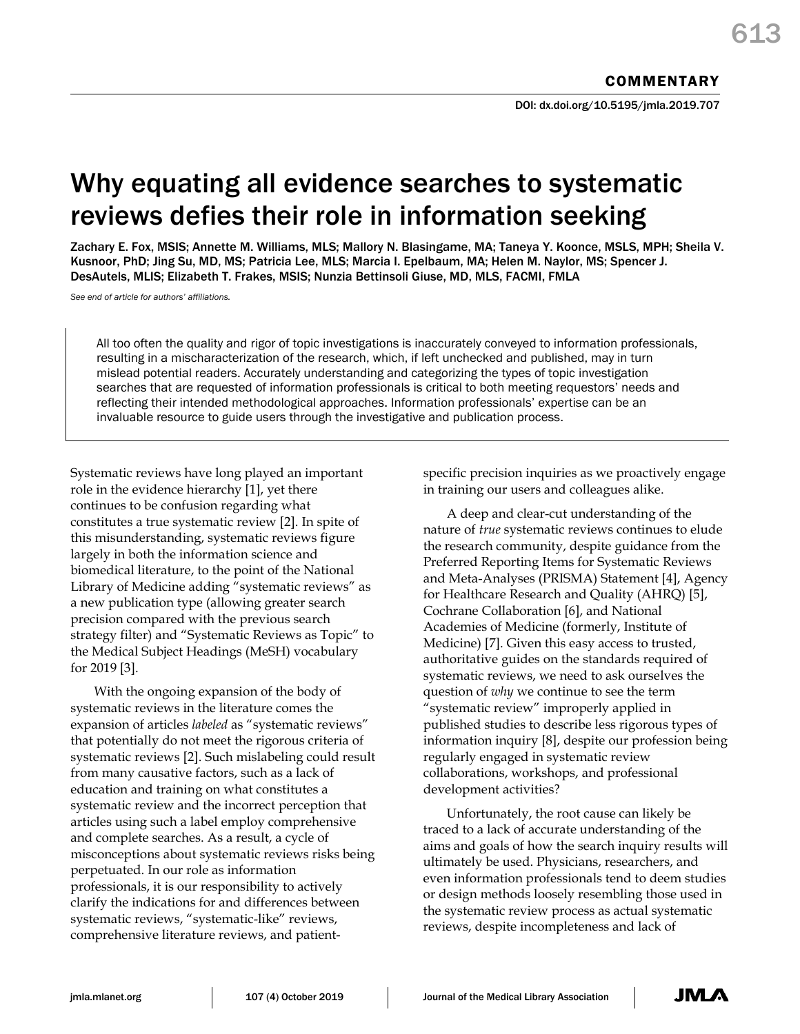# Why equating all evidence searches to systematic reviews defies their role in information seeking

Zachary E. Fox, MSIS; Annette M. Williams, MLS; Mallory N. Blasingame, MA; Taneya Y. Koonce, MSLS, MPH; Sheila V. Kusnoor, PhD; Jing Su, MD, MS; Patricia Lee, MLS; Marcia I. Epelbaum, MA; Helen M. Naylor, MS; Spencer J. DesAutels, MLIS; Elizabeth T. Frakes, MSIS; Nunzia Bettinsoli Giuse, MD, MLS, FACMI, FMLA

*See end of article for authors' affiliations.*

All too often the quality and rigor of topic investigations is inaccurately conveyed to information professionals, resulting in a mischaracterization of the research, which, if left unchecked and published, may in turn mislead potential readers. Accurately understanding and categorizing the types of topic investigation searches that are requested of information professionals is critical to both meeting requestors' needs and reflecting their intended methodological approaches. Information professionals' expertise can be an invaluable resource to guide users through the investigative and publication process.

Systematic reviews have long played an important role in the evidence hierarchy [1], yet there continues to be confusion regarding what constitutes a true systematic review [2]. In spite of this misunderstanding, systematic reviews figure largely in both the information science and biomedical literature, to the point of the National Library of Medicine adding "systematic reviews" as a new publication type (allowing greater search precision compared with the previous search strategy filter) and "Systematic Reviews as Topic" to the Medical Subject Headings (MeSH) vocabulary for 2019 [3].

With the ongoing expansion of the body of systematic reviews in the literature comes the expansion of articles *labeled* as "systematic reviews" that potentially do not meet the rigorous criteria of systematic reviews [2]. Such mislabeling could result from many causative factors, such as a lack of education and training on what constitutes a systematic review and the incorrect perception that articles using such a label employ comprehensive and complete searches. As a result, a cycle of misconceptions about systematic reviews risks being perpetuated. In our role as information professionals, it is our responsibility to actively clarify the indications for and differences between systematic reviews, "systematic-like" reviews, comprehensive literature reviews, and patientspecific precision inquiries as we proactively engage in training our users and colleagues alike.

A deep and clear-cut understanding of the nature of *true* systematic reviews continues to elude the research community, despite guidance from the Preferred Reporting Items for Systematic Reviews and Meta-Analyses (PRISMA) Statement [4], Agency for Healthcare Research and Quality (AHRQ) [5], Cochrane Collaboration [6], and National Academies of Medicine (formerly, Institute of Medicine) [7]. Given this easy access to trusted, authoritative guides on the standards required of systematic reviews, we need to ask ourselves the question of *why* we continue to see the term "systematic review" improperly applied in published studies to describe less rigorous types of information inquiry [8], despite our profession being regularly engaged in systematic review collaborations, workshops, and professional development activities?

Unfortunately, the root cause can likely be traced to a lack of accurate understanding of the aims and goals of how the search inquiry results will ultimately be used. Physicians, researchers, and even information professionals tend to deem studies or design methods loosely resembling those used in the systematic review process as actual systematic reviews, despite incompleteness and lack of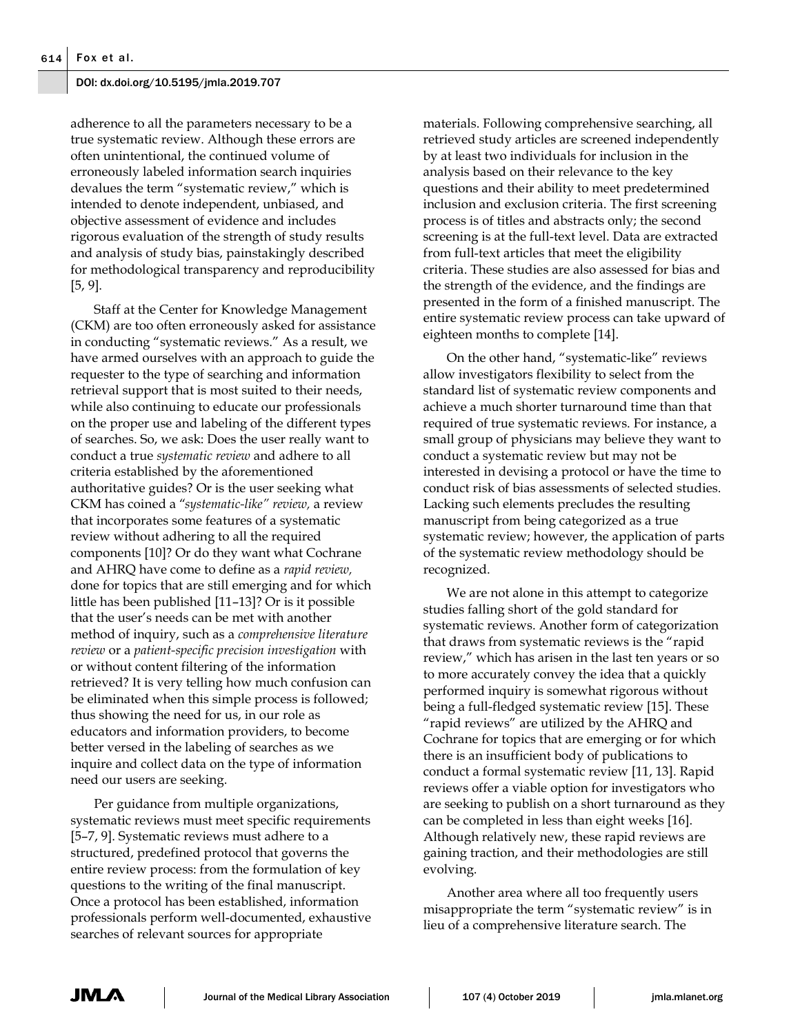adherence to all the parameters necessary to be a true systematic review. Although these errors are often unintentional, the continued volume of erroneously labeled information search inquiries devalues the term "systematic review," which is intended to denote independent, unbiased, and objective assessment of evidence and includes rigorous evaluation of the strength of study results and analysis of study bias, painstakingly described for methodological transparency and reproducibility [5, 9].

Staff at the Center for Knowledge Management (CKM) are too often erroneously asked for assistance in conducting "systematic reviews." As a result, we have armed ourselves with an approach to guide the requester to the type of searching and information retrieval support that is most suited to their needs, while also continuing to educate our professionals on the proper use and labeling of the different types of searches. So, we ask: Does the user really want to conduct a true *systematic review* and adhere to all criteria established by the aforementioned authoritative guides? Or is the user seeking what CKM has coined a "*systematic-like" review,* a review that incorporates some features of a systematic review without adhering to all the required components [10]? Or do they want what Cochrane and AHRQ have come to define as a *rapid review,* done for topics that are still emerging and for which little has been published [11–13]? Or is it possible that the user's needs can be met with another method of inquiry, such as a *comprehensive literature review* or a *patient-specific precision investigation* with or without content filtering of the information retrieved? It is very telling how much confusion can be eliminated when this simple process is followed; thus showing the need for us, in our role as educators and information providers, to become better versed in the labeling of searches as we inquire and collect data on the type of information need our users are seeking.

Per guidance from multiple organizations, systematic reviews must meet specific requirements [5–7, 9]. Systematic reviews must adhere to a structured, predefined protocol that governs the entire review process: from the formulation of key questions to the writing of the final manuscript. Once a protocol has been established, information professionals perform well-documented, exhaustive searches of relevant sources for appropriate

materials. Following comprehensive searching, all retrieved study articles are screened independently by at least two individuals for inclusion in the analysis based on their relevance to the key questions and their ability to meet predetermined inclusion and exclusion criteria. The first screening process is of titles and abstracts only; the second screening is at the full-text level. Data are extracted from full-text articles that meet the eligibility criteria. These studies are also assessed for bias and the strength of the evidence, and the findings are presented in the form of a finished manuscript. The entire systematic review process can take upward of eighteen months to complete [14].

On the other hand, "systematic-like" reviews allow investigators flexibility to select from the standard list of systematic review components and achieve a much shorter turnaround time than that required of true systematic reviews. For instance, a small group of physicians may believe they want to conduct a systematic review but may not be interested in devising a protocol or have the time to conduct risk of bias assessments of selected studies. Lacking such elements precludes the resulting manuscript from being categorized as a true systematic review; however, the application of parts of the systematic review methodology should be recognized.

We are not alone in this attempt to categorize studies falling short of the gold standard for systematic reviews. Another form of categorization that draws from systematic reviews is the "rapid review," which has arisen in the last ten years or so to more accurately convey the idea that a quickly performed inquiry is somewhat rigorous without being a full-fledged systematic review [15]. These "rapid reviews" are utilized by the AHRQ and Cochrane for topics that are emerging or for which there is an insufficient body of publications to conduct a formal systematic review [11, 13]. Rapid reviews offer a viable option for investigators who are seeking to publish on a short turnaround as they can be completed in less than eight weeks [16]. Although relatively new, these rapid reviews are gaining traction, and their methodologies are still evolving.

Another area where all too frequently users misappropriate the term "systematic review" is in lieu of a comprehensive literature search. The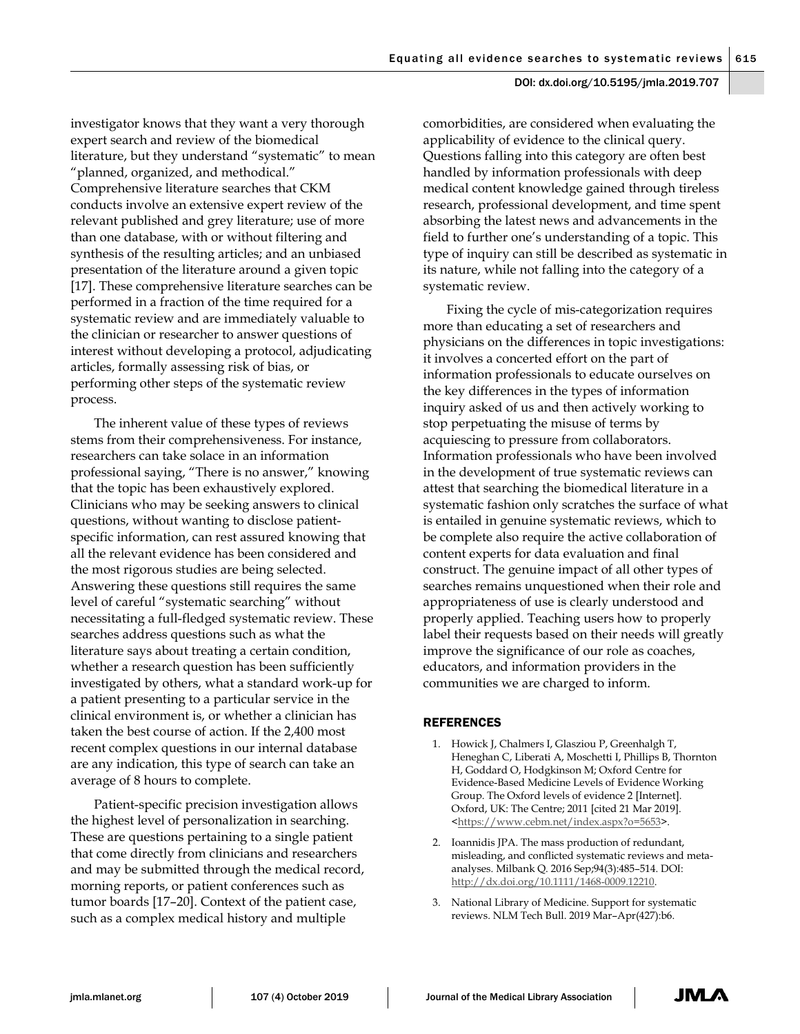investigator knows that they want a very thorough expert search and review of the biomedical literature, but they understand "systematic" to mean "planned, organized, and methodical." Comprehensive literature searches that CKM conducts involve an extensive expert review of the relevant published and grey literature; use of more than one database, with or without filtering and synthesis of the resulting articles; and an unbiased presentation of the literature around a given topic [17]. These comprehensive literature searches can be performed in a fraction of the time required for a systematic review and are immediately valuable to the clinician or researcher to answer questions of interest without developing a protocol, adjudicating articles, formally assessing risk of bias, or performing other steps of the systematic review process.

The inherent value of these types of reviews stems from their comprehensiveness. For instance, researchers can take solace in an information professional saying, "There is no answer," knowing that the topic has been exhaustively explored. Clinicians who may be seeking answers to clinical questions, without wanting to disclose patientspecific information, can rest assured knowing that all the relevant evidence has been considered and the most rigorous studies are being selected. Answering these questions still requires the same level of careful "systematic searching" without necessitating a full-fledged systematic review. These searches address questions such as what the literature says about treating a certain condition, whether a research question has been sufficiently investigated by others, what a standard work-up for a patient presenting to a particular service in the clinical environment is, or whether a clinician has taken the best course of action. If the 2,400 most recent complex questions in our internal database are any indication, this type of search can take an average of 8 hours to complete.

Patient-specific precision investigation allows the highest level of personalization in searching. These are questions pertaining to a single patient that come directly from clinicians and researchers and may be submitted through the medical record, morning reports, or patient conferences such as tumor boards [17–20]. Context of the patient case, such as a complex medical history and multiple

comorbidities, are considered when evaluating the applicability of evidence to the clinical query. Questions falling into this category are often best handled by information professionals with deep medical content knowledge gained through tireless research, professional development, and time spent absorbing the latest news and advancements in the field to further one's understanding of a topic. This type of inquiry can still be described as systematic in its nature, while not falling into the category of a systematic review.

Fixing the cycle of mis-categorization requires more than educating a set of researchers and physicians on the differences in topic investigations: it involves a concerted effort on the part of information professionals to educate ourselves on the key differences in the types of information inquiry asked of us and then actively working to stop perpetuating the misuse of terms by acquiescing to pressure from collaborators. Information professionals who have been involved in the development of true systematic reviews can attest that searching the biomedical literature in a systematic fashion only scratches the surface of what is entailed in genuine systematic reviews, which to be complete also require the active collaboration of content experts for data evaluation and final construct. The genuine impact of all other types of searches remains unquestioned when their role and appropriateness of use is clearly understood and properly applied. Teaching users how to properly label their requests based on their needs will greatly improve the significance of our role as coaches, educators, and information providers in the communities we are charged to inform.

# REFERENCES

- 1. Howick J, Chalmers I, Glasziou P, Greenhalgh T, Heneghan C, Liberati A, Moschetti I, Phillips B, Thornton H, Goddard O, Hodgkinson M; Oxford Centre for Evidence-Based Medicine Levels of Evidence Working Group. The Oxford levels of evidence 2 [Internet]. Oxford, UK: The Centre; 2011 [cited 21 Mar 2019]. <https://www.cebm.net/index.aspx?o=5653>.
- 2. Ioannidis JPA. The mass production of redundant, misleading, and conflicted systematic reviews and metaanalyses. Milbank Q. 2016 Sep;94(3):485–514. DOI: http://dx.doi.org/10.1111/1468-0009.12210.
- 3. National Library of Medicine. Support for systematic reviews. NLM Tech Bull. 2019 Mar–Apr(427):b6.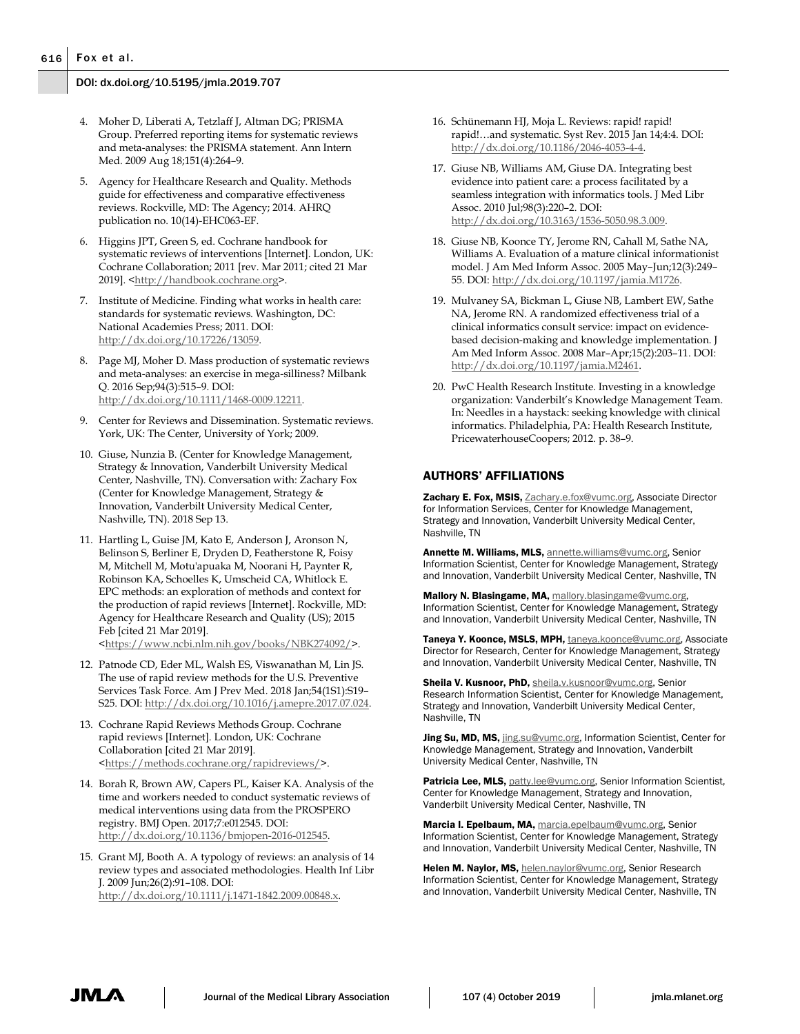- 4. Moher D, Liberati A, Tetzlaff J, Altman DG; PRISMA Group. Preferred reporting items for systematic reviews and meta-analyses: the PRISMA statement. Ann Intern Med. 2009 Aug 18;151(4):264–9.
- 5. Agency for Healthcare Research and Quality. Methods guide for effectiveness and comparative effectiveness reviews. Rockville, MD: The Agency; 2014. AHRQ publication no. 10(14)-EHC063-EF.
- 6. Higgins JPT, Green S, ed. Cochrane handbook for systematic reviews of interventions [Internet]. London, UK: Cochrane Collaboration; 2011 [rev. Mar 2011; cited 21 Mar 2019]. <http://handbook.cochrane.org>.
- 7. Institute of Medicine. Finding what works in health care: standards for systematic reviews. Washington, DC: National Academies Press; 2011. DOI: http://dx.doi.org/10.17226/13059.
- 8. Page MJ, Moher D. Mass production of systematic reviews and meta-analyses: an exercise in mega-silliness? Milbank Q. 2016 Sep;94(3):515–9. DOI: http://dx.doi.org/10.1111/1468-0009.12211.
- 9. Center for Reviews and Dissemination. Systematic reviews. York, UK: The Center, University of York; 2009.
- 10. Giuse, Nunzia B. (Center for Knowledge Management, Strategy & Innovation, Vanderbilt University Medical Center, Nashville, TN). Conversation with: Zachary Fox (Center for Knowledge Management, Strategy & Innovation, Vanderbilt University Medical Center, Nashville, TN). 2018 Sep 13.
- 11. Hartling L, Guise JM, Kato E, Anderson J, Aronson N, Belinson S, Berliner E, Dryden D, Featherstone R, Foisy M, Mitchell M, Motu'apuaka M, Noorani H, Paynter R, Robinson KA, Schoelles K, Umscheid CA, Whitlock E. EPC methods: an exploration of methods and context for the production of rapid reviews [Internet]. Rockville, MD: Agency for Healthcare Research and Quality (US); 2015 Feb [cited 21 Mar 2019]. <https://www.ncbi.nlm.nih.gov/books/NBK274092/>.
- 12. Patnode CD, Eder ML, Walsh ES, Viswanathan M, Lin JS. The use of rapid review methods for the U.S. Preventive Services Task Force. Am J Prev Med. 2018 Jan;54(1S1):S19– S25. DOI: http://dx.doi.org/10.1016/j.amepre.2017.07.024.
- 13. Cochrane Rapid Reviews Methods Group. Cochrane rapid reviews [Internet]. London, UK: Cochrane Collaboration [cited 21 Mar 2019]. <https://methods.cochrane.org/rapidreviews/>.
- 14. Borah R, Brown AW, Capers PL, Kaiser KA. Analysis of the time and workers needed to conduct systematic reviews of medical interventions using data from the PROSPERO registry. BMJ Open. 2017;7:e012545. DOI: http://dx.doi.org/10.1136/bmjopen-2016-012545.
- 15. Grant MJ, Booth A. A typology of reviews: an analysis of 14 review types and associated methodologies. Health Inf Libr J. 2009 Jun;26(2):91–108. DOI: http://dx.doi.org/10.1111/j.1471-1842.2009.00848.x.
- 16. Schünemann HJ, Moja L. Reviews: rapid! rapid! rapid!…and systematic. Syst Rev. 2015 Jan 14;4:4. DOI: http://dx.doi.org/10.1186/2046-4053-4-4.
- 17. Giuse NB, Williams AM, Giuse DA. Integrating best evidence into patient care: a process facilitated by a seamless integration with informatics tools. J Med Libr Assoc. 2010 Jul;98(3):220–2. DOI: http://dx.doi.org/10.3163/1536-5050.98.3.009.
- 18. Giuse NB, Koonce TY, Jerome RN, Cahall M, Sathe NA, Williams A. Evaluation of a mature clinical informationist model. J Am Med Inform Assoc. 2005 May–Jun;12(3):249– 55. DOI: http://dx.doi.org/10.1197/jamia.M1726.
- 19. Mulvaney SA, Bickman L, Giuse NB, Lambert EW, Sathe NA, Jerome RN. A randomized effectiveness trial of a clinical informatics consult service: impact on evidencebased decision-making and knowledge implementation. J Am Med Inform Assoc. 2008 Mar–Apr;15(2):203–11. DOI: http://dx.doi.org/10.1197/jamia.M2461.
- 20. PwC Health Research Institute. Investing in a knowledge organization: Vanderbilt's Knowledge Management Team. In: Needles in a haystack: seeking knowledge with clinical informatics. Philadelphia, PA: Health Research Institute, PricewaterhouseCoopers; 2012. p. 38–9.

#### AUTHORS' AFFILIATIONS

Zachary E. Fox, MSIS, **Zachary.e.fox@vumc.org**, Associate Director for Information Services, Center for Knowledge Management, Strategy and Innovation, Vanderbilt University Medical Center, Nashville, TN

Annette M. Williams, MLS, annette.williams@vumc.org, Senior Information Scientist, Center for Knowledge Management, Strategy and Innovation, Vanderbilt University Medical Center, Nashville, TN

Mallory N. Blasingame, MA, mallory.blasingame@vumc.org, Information Scientist, Center for Knowledge Management, Strategy and Innovation, Vanderbilt University Medical Center, Nashville, TN

Taneya Y. Koonce, MSLS, MPH, taneya.koonce@vumc.org, Associate Director for Research, Center for Knowledge Management, Strategy and Innovation, Vanderbilt University Medical Center, Nashville, TN

Sheila V. Kusnoor, PhD, sheila.v.kusnoor@vumc.org, Senior Research Information Scientist, Center for Knowledge Management, Strategy and Innovation, Vanderbilt University Medical Center, Nashville, TN

Jing Su, MD, MS, jing.su@vumc.org, Information Scientist, Center for Knowledge Management, Strategy and Innovation, Vanderbilt University Medical Center, Nashville, TN

Patricia Lee, MLS, patty.lee@vumc.org, Senior Information Scientist, Center for Knowledge Management, Strategy and Innovation, Vanderbilt University Medical Center, Nashville, TN

Marcia I. Epelbaum, MA, marcia.epelbaum@vumc.org, Senior Information Scientist, Center for Knowledge Management, Strategy and Innovation, Vanderbilt University Medical Center, Nashville, TN

Helen M. Naylor, MS, helen.naylor@vumc.org, Senior Research Information Scientist, Center for Knowledge Management, Strategy and Innovation, Vanderbilt University Medical Center, Nashville, TN